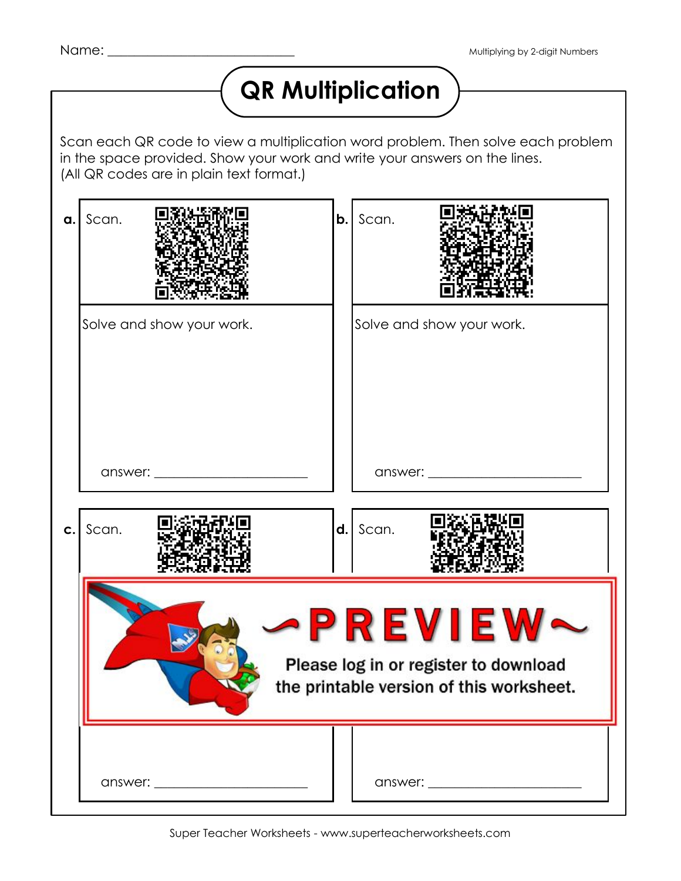## **QR Multiplication**

Scan each QR code to view a multiplication word problem. Then solve each problem in the space provided. Show your work and write your answers on the lines. (All QR codes are in plain text format.)

| a. | Scan.                                                                                                                                                                                                                          | b.                                                                                          | Scan.                            |  |
|----|--------------------------------------------------------------------------------------------------------------------------------------------------------------------------------------------------------------------------------|---------------------------------------------------------------------------------------------|----------------------------------|--|
|    | Solve and show your work.                                                                                                                                                                                                      |                                                                                             | Solve and show your work.        |  |
|    | answer: ________________________                                                                                                                                                                                               |                                                                                             | answer: ________________________ |  |
| C. | Scan.                                                                                                                                                                                                                          |                                                                                             | $d.$ Scan.                       |  |
|    |                                                                                                                                                                                                                                | PREVIE<br>Please log in or register to download<br>the printable version of this worksheet. |                                  |  |
|    | answer: and the contract of the contract of the contract of the contract of the contract of the contract of the contract of the contract of the contract of the contract of the contract of the contract of the contract of th |                                                                                             |                                  |  |

Super Teacher Worksheets - www.superteacherworksheets.com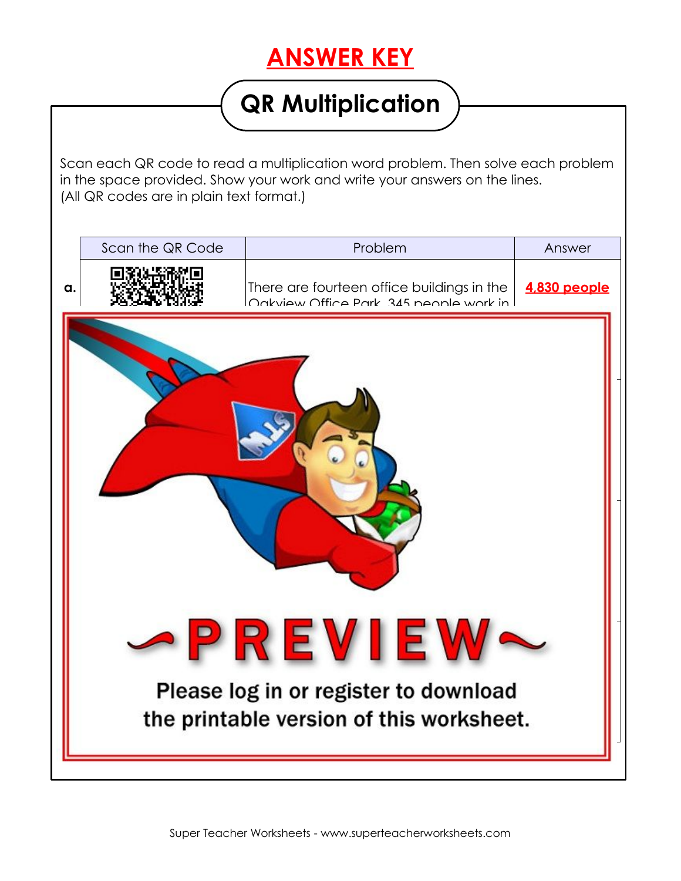## **ANSWER KEY**

## **QR Multiplication**

Scan each QR code to read a multiplication word problem. Then solve each problem in the space provided. Show your work and write your answers on the lines. (All QR codes are in plain text format.)